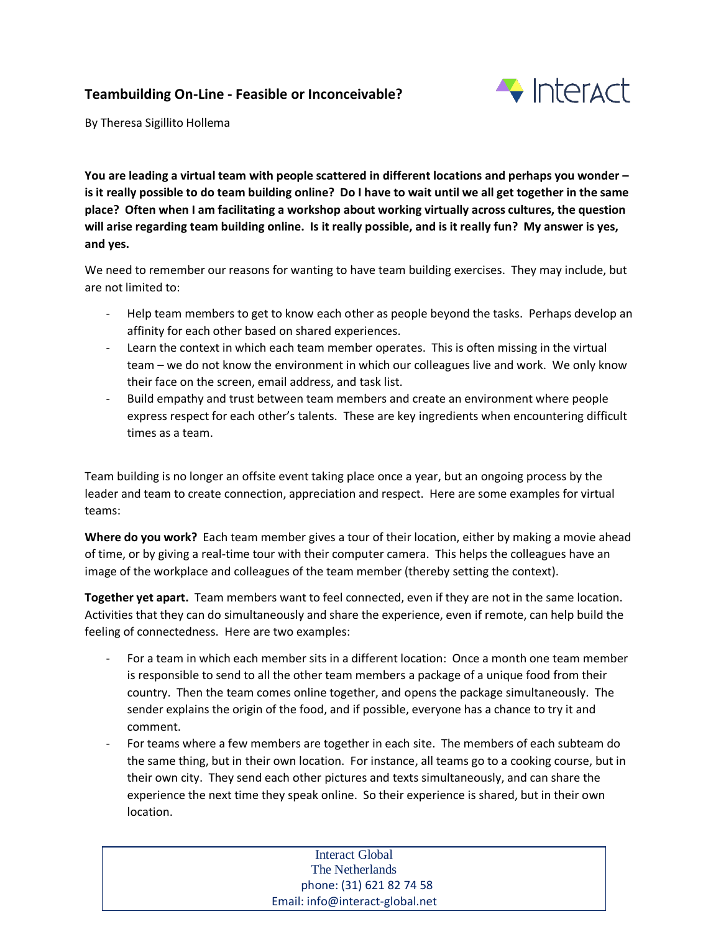## **Teambuilding On-Line - Feasible or Inconceivable?**



By Theresa Sigillito Hollema

**You are leading a virtual team with people scattered in different locations and perhaps you wonder – is it really possible to do team building online? Do I have to wait until we all get together in the same place? Often when I am facilitating a workshop about working virtually across cultures, the question will arise regarding team building online. Is it really possible, and is it really fun? My answer is yes, and yes.** 

We need to remember our reasons for wanting to have team building exercises. They may include, but are not limited to:

- Help team members to get to know each other as people beyond the tasks. Perhaps develop an affinity for each other based on shared experiences.
- Learn the context in which each team member operates. This is often missing in the virtual team – we do not know the environment in which our colleagues live and work. We only know their face on the screen, email address, and task list.
- Build empathy and trust between team members and create an environment where people express respect for each other's talents. These are key ingredients when encountering difficult times as a team.

Team building is no longer an offsite event taking place once a year, but an ongoing process by the leader and team to create connection, appreciation and respect. Here are some examples for virtual teams:

**Where do you work?** Each team member gives a tour of their location, either by making a movie ahead of time, or by giving a real-time tour with their computer camera. This helps the colleagues have an image of the workplace and colleagues of the team member (thereby setting the context).

**Together yet apart.** Team members want to feel connected, even if they are not in the same location. Activities that they can do simultaneously and share the experience, even if remote, can help build the feeling of connectedness. Here are two examples:

- For a team in which each member sits in a different location: Once a month one team member is responsible to send to all the other team members a package of a unique food from their country. Then the team comes online together, and opens the package simultaneously. The sender explains the origin of the food, and if possible, everyone has a chance to try it and comment.
- For teams where a few members are together in each site. The members of each subteam do the same thing, but in their own location. For instance, all teams go to a cooking course, but in their own city. They send each other pictures and texts simultaneously, and can share the experience the next time they speak online. So their experience is shared, but in their own location.

| Interact Global                 |
|---------------------------------|
| The Netherlands                 |
| phone: (31) 621 82 74 58        |
| Email: info@interact-global.net |